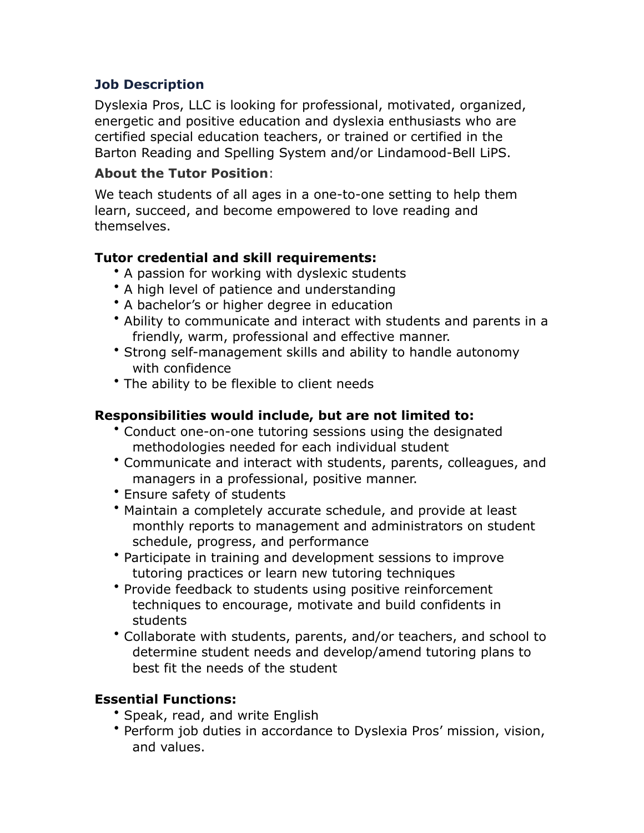# **Job Description**

Dyslexia Pros, LLC is looking for professional, motivated, organized, energetic and positive education and dyslexia enthusiasts who are certified special education teachers, or trained or certified in the Barton Reading and Spelling System and/or Lindamood-Bell LiPS.

#### **About the Tutor Position**:

We teach students of all ages in a one-to-one setting to help them learn, succeed, and become empowered to love reading and themselves.

## **Tutor credential and skill requirements:**

- A passion for working with dyslexic students
- A high level of patience and understanding
- A bachelor's or higher degree in education
- Ability to communicate and interact with students and parents in a friendly, warm, professional and effective manner.
- Strong self-management skills and ability to handle autonomy with confidence
- The ability to be flexible to client needs

## **Responsibilities would include, but are not limited to:**

- Conduct one-on-one tutoring sessions using the designated methodologies needed for each individual student
- Communicate and interact with students, parents, colleagues, and managers in a professional, positive manner.
- Ensure safety of students
- Maintain a completely accurate schedule, and provide at least monthly reports to management and administrators on student schedule, progress, and performance
- Participate in training and development sessions to improve tutoring practices or learn new tutoring techniques
- Provide feedback to students using positive reinforcement techniques to encourage, motivate and build confidents in students
- Collaborate with students, parents, and/or teachers, and school to determine student needs and develop/amend tutoring plans to best fit the needs of the student

#### **Essential Functions:**

- Speak, read, and write English
- Perform job duties in accordance to Dyslexia Pros' mission, vision, and values.